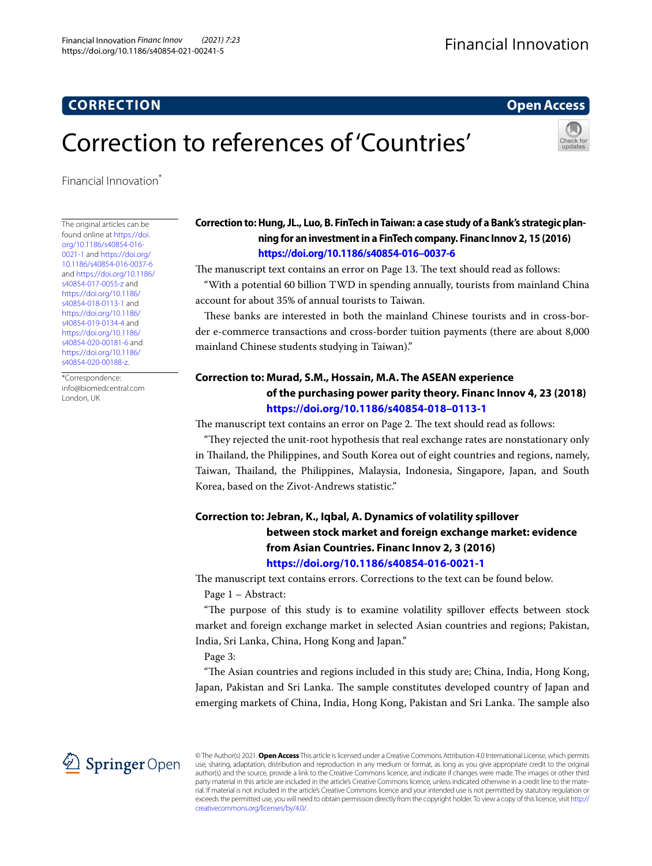# **CORRECTION**

**Open Access**

# Correction to references of 'Countries'

Financial Innovation<sup>\*</sup>

The original articles can be found online at [https://doi.](https://doi.org/10.1186/s40854-016-0021-1) [org/10.1186/s40854-016-](https://doi.org/10.1186/s40854-016-0021-1) [0021-1](https://doi.org/10.1186/s40854-016-0021-1) and [https://doi.org/](https://doi.org/10.1186/s40854-016-0037-6) [10.1186/s40854-016-0037-6](https://doi.org/10.1186/s40854-016-0037-6) and [https://doi.org/10.1186/](https://doi.org/10.1186/s40854-017-0055-z) [s40854-017-0055-z](https://doi.org/10.1186/s40854-017-0055-z) and [https://doi.org/10.1186/](https://doi.org/10.1186/s40854-018-0113-1) [s40854-018-0113-1](https://doi.org/10.1186/s40854-018-0113-1) and [https://doi.org/10.1186/](https://doi.org/10.1186/s40854-019-0134-4) [s40854-019-0134-4](https://doi.org/10.1186/s40854-019-0134-4) and [https://doi.org/10.1186/](https://doi.org/10.1186/s40854-020-00181-6) [s40854-020-00181-6](https://doi.org/10.1186/s40854-020-00181-6) and [https://doi.org/10.1186/](https://doi.org/10.1186/s40854-020-00188-z) [s40854-020-00188-z.](https://doi.org/10.1186/s40854-020-00188-z)

\*Correspondence: info@biomedcentral.com London, UK

### **Correction to: Hung, JL., Luo, B. FinTech in Taiwan: a case study of a Bank's strategic planning for an investment in a FinTech company. Financ Innov 2, 15 (2016) <https://doi.org/10.1186/s40854-016–0037-6>**

The manuscript text contains an error on Page 13. The text should read as follows: "With a potential 60 billion TWD in spending annually, tourists from mainland China account for about 35% of annual tourists to Taiwan.

These banks are interested in both the mainland Chinese tourists and in cross-border e-commerce transactions and cross-border tuition payments (there are about 8,000 mainland Chinese students studying in Taiwan)."

# **Correction to: Murad, S.M., Hossain, M.A. The ASEAN experience of the purchasing power parity theory. Financ Innov 4, 23 (2018) <https://doi.org/10.1186/s40854-018–0113-1>**

The manuscript text contains an error on Page 2. The text should read as follows:

"Tey rejected the unit-root hypothesis that real exchange rates are nonstationary only in Thailand, the Philippines, and South Korea out of eight countries and regions, namely, Taiwan, Tailand, the Philippines, Malaysia, Indonesia, Singapore, Japan, and South Korea, based on the Zivot-Andrews statistic."

# **Correction to: Jebran, K., Iqbal, A. Dynamics of volatility spillover between stock market and foreign exchange market: evidence from Asian Countries. Financ Innov 2, 3 (2016) <https://doi.org/10.1186/s40854-016-0021-1>**

The manuscript text contains errors. Corrections to the text can be found below. Page 1 – Abstract:

"The purpose of this study is to examine volatility spillover effects between stock market and foreign exchange market in selected Asian countries and regions; Pakistan, India, Sri Lanka, China, Hong Kong and Japan."

Page 3:

"The Asian countries and regions included in this study are; China, India, Hong Kong, Japan, Pakistan and Sri Lanka. The sample constitutes developed country of Japan and emerging markets of China, India, Hong Kong, Pakistan and Sri Lanka. The sample also



© The Author(s) 2021. **Open Access** This article is licensed under a Creative Commons Attribution 4.0 International License, which permits use, sharing, adaptation, distribution and reproduction in any medium or format, as long as you give appropriate credit to the original author(s) and the source, provide a link to the Creative Commons licence, and indicate if changes were made. The images or other third party material in this article are included in the article's Creative Commons licence, unless indicated otherwise in a credit line to the material. If material is not included in the article's Creative Commons licence and your intended use is not permitted by statutory regulation or exceeds the permitted use, you will need to obtain permission directly from the copyright holder. To view a copy of this licence, visit [http://](http://creativecommons.org/licenses/by/4.0/) [creativecommons.org/licenses/by/4.0/.](http://creativecommons.org/licenses/by/4.0/)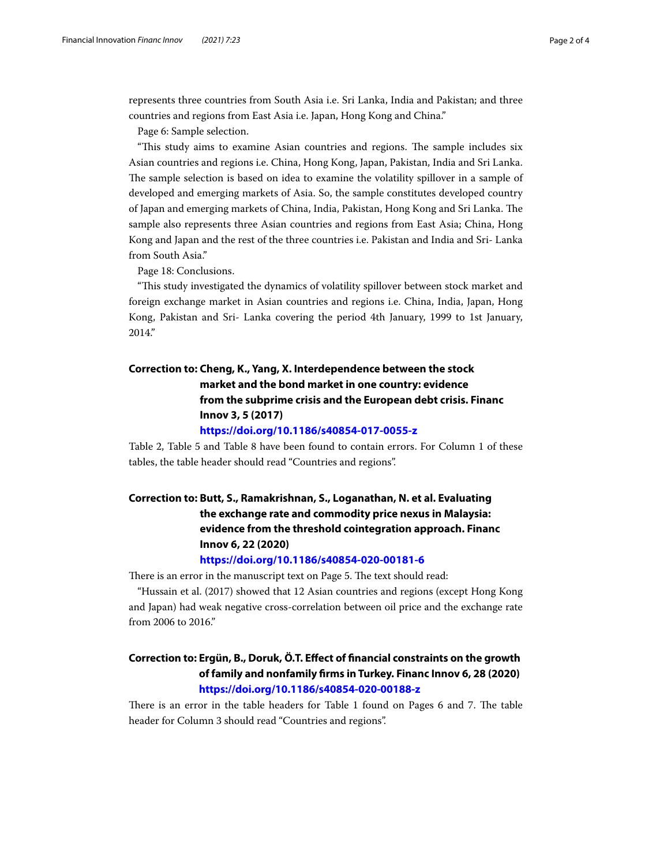represents three countries from South Asia i.e. Sri Lanka, India and Pakistan; and three countries and regions from East Asia i.e. Japan, Hong Kong and China."

Page 6: Sample selection.

"This study aims to examine Asian countries and regions. The sample includes six Asian countries and regions i.e. China, Hong Kong, Japan, Pakistan, India and Sri Lanka. The sample selection is based on idea to examine the volatility spillover in a sample of developed and emerging markets of Asia. So, the sample constitutes developed country of Japan and emerging markets of China, India, Pakistan, Hong Kong and Sri Lanka. The sample also represents three Asian countries and regions from East Asia; China, Hong Kong and Japan and the rest of the three countries i.e. Pakistan and India and Sri- Lanka from South Asia."

Page 18: Conclusions.

"Tis study investigated the dynamics of volatility spillover between stock market and foreign exchange market in Asian countries and regions i.e. China, India, Japan, Hong Kong, Pakistan and Sri- Lanka covering the period 4th January, 1999 to 1st January, 2014."

# **Correction to: Cheng, K., Yang, X. Interdependence between the stock market and the bond market in one country: evidence from the subprime crisis and the European debt crisis. Financ Innov 3, 5 (2017)**

#### **<https://doi.org/10.1186/s40854-017-0055-z>**

Table 2, Table 5 and Table 8 have been found to contain errors. For Column 1 of these tables, the table header should read "Countries and regions".

# **Correction to: Butt, S., Ramakrishnan, S., Loganathan, N. et al. Evaluating the exchange rate and commodity price nexus in Malaysia: evidence from the threshold cointegration approach. Financ Innov 6, 22 (2020)**

### **<https://doi.org/10.1186/s40854-020-00181-6>**

There is an error in the manuscript text on Page 5. The text should read:

"Hussain et al. (2017) showed that 12 Asian countries and regions (except Hong Kong and Japan) had weak negative cross-correlation between oil price and the exchange rate from 2006 to 2016."

### **Correction to: Ergün, B., Doruk, Ö.T. Efect of fnancial constraints on the growth of family and nonfamily frms in Turkey. Financ Innov 6, 28 (2020) <https://doi.org/10.1186/s40854-020-00188-z>**

There is an error in the table headers for Table 1 found on Pages 6 and 7. The table header for Column 3 should read "Countries and regions".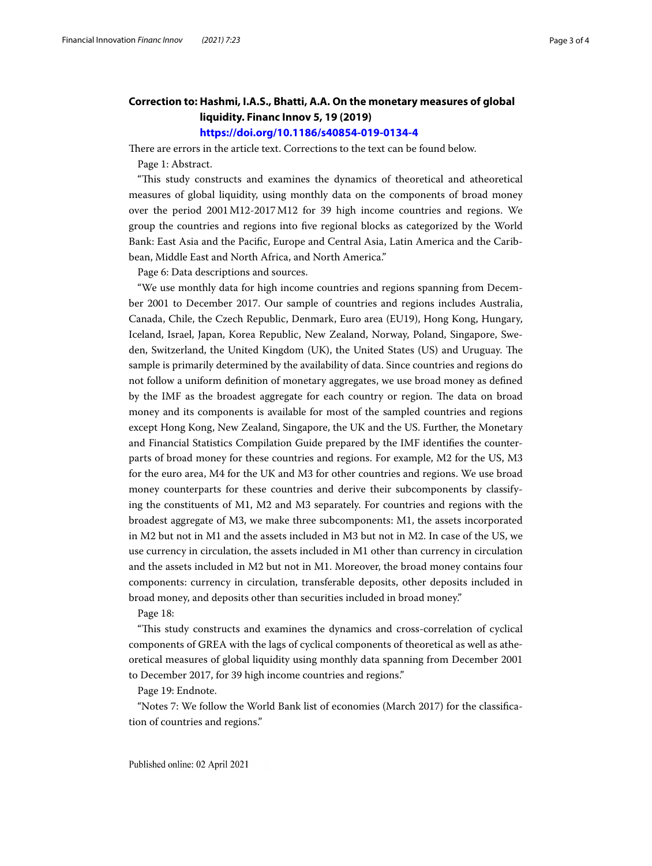### **Correction to: Hashmi, I.A.S., Bhatti, A.A. On the monetary measures of global liquidity. Financ Innov 5, 19 (2019) <https://doi.org/10.1186/s40854-019-0134-4>**

There are errors in the article text. Corrections to the text can be found below.

Page 1: Abstract.

"Tis study constructs and examines the dynamics of theoretical and atheoretical measures of global liquidity, using monthly data on the components of broad money over the period 2001M12-2017M12 for 39 high income countries and regions. We group the countries and regions into fve regional blocks as categorized by the World Bank: East Asia and the Pacifc, Europe and Central Asia, Latin America and the Caribbean, Middle East and North Africa, and North America."

Page 6: Data descriptions and sources.

"We use monthly data for high income countries and regions spanning from December 2001 to December 2017. Our sample of countries and regions includes Australia, Canada, Chile, the Czech Republic, Denmark, Euro area (EU19), Hong Kong, Hungary, Iceland, Israel, Japan, Korea Republic, New Zealand, Norway, Poland, Singapore, Sweden, Switzerland, the United Kingdom (UK), the United States (US) and Uruguay. The sample is primarily determined by the availability of data. Since countries and regions do not follow a uniform defnition of monetary aggregates, we use broad money as defned by the IMF as the broadest aggregate for each country or region. The data on broad money and its components is available for most of the sampled countries and regions except Hong Kong, New Zealand, Singapore, the UK and the US. Further, the Monetary and Financial Statistics Compilation Guide prepared by the IMF identifes the counterparts of broad money for these countries and regions. For example, M2 for the US, M3 for the euro area, M4 for the UK and M3 for other countries and regions. We use broad money counterparts for these countries and derive their subcomponents by classifying the constituents of M1, M2 and M3 separately. For countries and regions with the broadest aggregate of M3, we make three subcomponents: M1, the assets incorporated in M2 but not in M1 and the assets included in M3 but not in M2. In case of the US, we use currency in circulation, the assets included in M1 other than currency in circulation and the assets included in M2 but not in M1. Moreover, the broad money contains four components: currency in circulation, transferable deposits, other deposits included in broad money, and deposits other than securities included in broad money."

Page 18:

"Tis study constructs and examines the dynamics and cross-correlation of cyclical components of GREA with the lags of cyclical components of theoretical as well as atheoretical measures of global liquidity using monthly data spanning from December 2001 to December 2017, for 39 high income countries and regions."

Page 19: Endnote.

"Notes 7: We follow the World Bank list of economies (March 2017) for the classifcation of countries and regions."

Published online: 02 April 2021